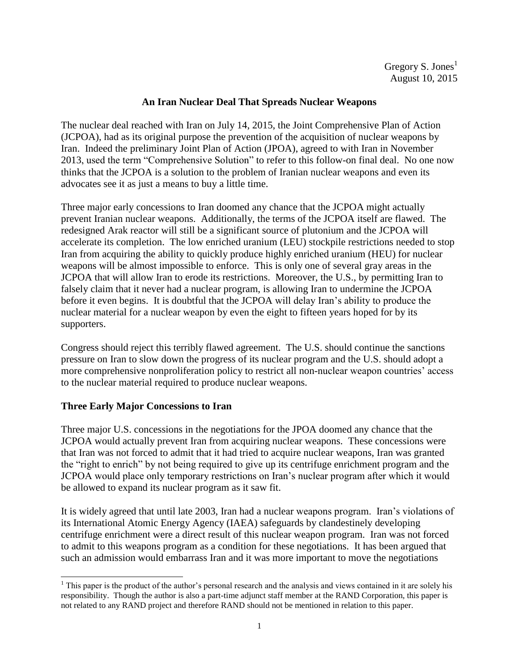### **An Iran Nuclear Deal That Spreads Nuclear Weapons**

The nuclear deal reached with Iran on July 14, 2015, the Joint Comprehensive Plan of Action (JCPOA), had as its original purpose the prevention of the acquisition of nuclear weapons by Iran. Indeed the preliminary Joint Plan of Action (JPOA), agreed to with Iran in November 2013, used the term "Comprehensive Solution" to refer to this follow-on final deal. No one now thinks that the JCPOA is a solution to the problem of Iranian nuclear weapons and even its advocates see it as just a means to buy a little time.

Three major early concessions to Iran doomed any chance that the JCPOA might actually prevent Iranian nuclear weapons. Additionally, the terms of the JCPOA itself are flawed. The redesigned Arak reactor will still be a significant source of plutonium and the JCPOA will accelerate its completion. The low enriched uranium (LEU) stockpile restrictions needed to stop Iran from acquiring the ability to quickly produce highly enriched uranium (HEU) for nuclear weapons will be almost impossible to enforce. This is only one of several gray areas in the JCPOA that will allow Iran to erode its restrictions. Moreover, the U.S., by permitting Iran to falsely claim that it never had a nuclear program, is allowing Iran to undermine the JCPOA before it even begins. It is doubtful that the JCPOA will delay Iran's ability to produce the nuclear material for a nuclear weapon by even the eight to fifteen years hoped for by its supporters.

Congress should reject this terribly flawed agreement. The U.S. should continue the sanctions pressure on Iran to slow down the progress of its nuclear program and the U.S. should adopt a more comprehensive nonproliferation policy to restrict all non-nuclear weapon countries' access to the nuclear material required to produce nuclear weapons.

# **Three Early Major Concessions to Iran**

Three major U.S. concessions in the negotiations for the JPOA doomed any chance that the JCPOA would actually prevent Iran from acquiring nuclear weapons. These concessions were that Iran was not forced to admit that it had tried to acquire nuclear weapons, Iran was granted the "right to enrich" by not being required to give up its centrifuge enrichment program and the JCPOA would place only temporary restrictions on Iran's nuclear program after which it would be allowed to expand its nuclear program as it saw fit.

It is widely agreed that until late 2003, Iran had a nuclear weapons program. Iran's violations of its International Atomic Energy Agency (IAEA) safeguards by clandestinely developing centrifuge enrichment were a direct result of this nuclear weapon program. Iran was not forced to admit to this weapons program as a condition for these negotiations. It has been argued that such an admission would embarrass Iran and it was more important to move the negotiations

l  $<sup>1</sup>$  This paper is the product of the author's personal research and the analysis and views contained in it are solely his</sup> responsibility. Though the author is also a part-time adjunct staff member at the RAND Corporation, this paper is not related to any RAND project and therefore RAND should not be mentioned in relation to this paper.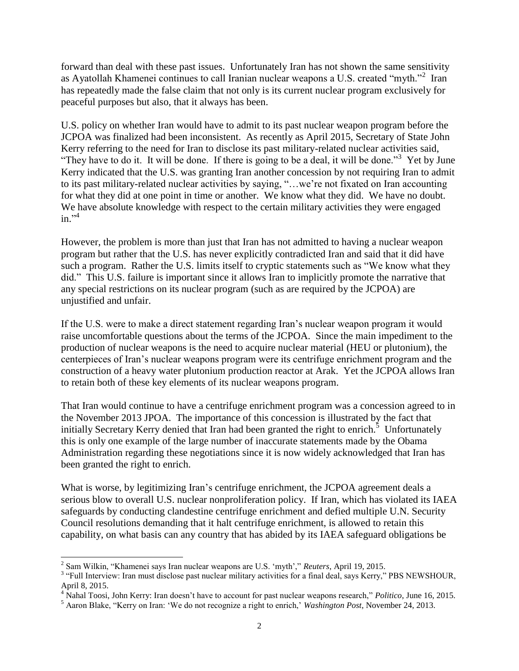forward than deal with these past issues. Unfortunately Iran has not shown the same sensitivity as Ayatollah Khamenei continues to call Iranian nuclear weapons a U.S. created "myth."<sup>2</sup> Iran has repeatedly made the false claim that not only is its current nuclear program exclusively for peaceful purposes but also, that it always has been.

U.S. policy on whether Iran would have to admit to its past nuclear weapon program before the JCPOA was finalized had been inconsistent. As recently as April 2015, Secretary of State John Kerry referring to the need for Iran to disclose its past military-related nuclear activities said, "They have to do it. It will be done. If there is going to be a deal, it will be done."<sup>3</sup> Yet by June Kerry indicated that the U.S. was granting Iran another concession by not requiring Iran to admit to its past military-related nuclear activities by saying, "…we're not fixated on Iran accounting for what they did at one point in time or another. We know what they did. We have no doubt. We have absolute knowledge with respect to the certain military activities they were engaged in." 4

However, the problem is more than just that Iran has not admitted to having a nuclear weapon program but rather that the U.S. has never explicitly contradicted Iran and said that it did have such a program. Rather the U.S. limits itself to cryptic statements such as "We know what they did." This U.S. failure is important since it allows Iran to implicitly promote the narrative that any special restrictions on its nuclear program (such as are required by the JCPOA) are unjustified and unfair.

If the U.S. were to make a direct statement regarding Iran's nuclear weapon program it would raise uncomfortable questions about the terms of the JCPOA. Since the main impediment to the production of nuclear weapons is the need to acquire nuclear material (HEU or plutonium), the centerpieces of Iran's nuclear weapons program were its centrifuge enrichment program and the construction of a heavy water plutonium production reactor at Arak. Yet the JCPOA allows Iran to retain both of these key elements of its nuclear weapons program.

That Iran would continue to have a centrifuge enrichment program was a concession agreed to in the November 2013 JPOA. The importance of this concession is illustrated by the fact that initially Secretary Kerry denied that Iran had been granted the right to enrich.<sup>5</sup> Unfortunately this is only one example of the large number of inaccurate statements made by the Obama Administration regarding these negotiations since it is now widely acknowledged that Iran has been granted the right to enrich.

What is worse, by legitimizing Iran's centrifuge enrichment, the JCPOA agreement deals a serious blow to overall U.S. nuclear nonproliferation policy. If Iran, which has violated its IAEA safeguards by conducting clandestine centrifuge enrichment and defied multiple U.N. Security Council resolutions demanding that it halt centrifuge enrichment, is allowed to retain this capability, on what basis can any country that has abided by its IAEA safeguard obligations be

 2 Sam Wilkin, "Khamenei says Iran nuclear weapons are U.S. 'myth'," *Reuters*, April 19, 2015.

<sup>&</sup>lt;sup>3</sup> "Full Interview: Iran must disclose past nuclear military activities for a final deal, says Kerry," PBS NEWSHOUR, April 8, 2015.

<sup>&</sup>lt;sup>4</sup> Nahal Toosi, John Kerry: Iran doesn't have to account for past nuclear weapons research," *Politico*, June 16, 2015.

<sup>5</sup> Aaron Blake, "Kerry on Iran: 'We do not recognize a right to enrich,' *Washington Post*, November 24, 2013.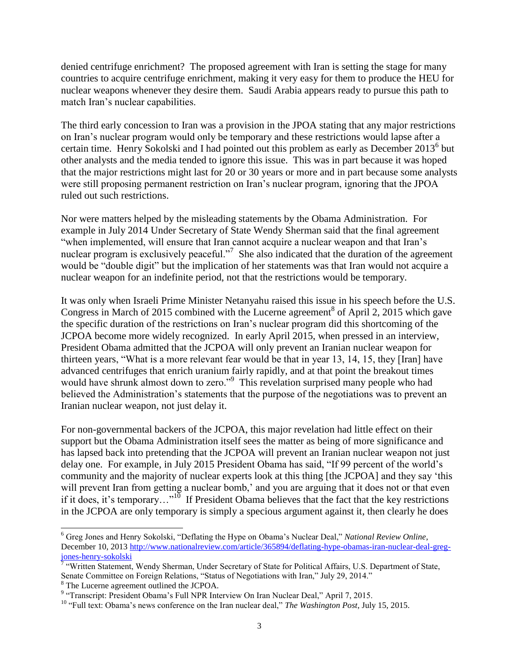denied centrifuge enrichment? The proposed agreement with Iran is setting the stage for many countries to acquire centrifuge enrichment, making it very easy for them to produce the HEU for nuclear weapons whenever they desire them. Saudi Arabia appears ready to pursue this path to match Iran's nuclear capabilities.

The third early concession to Iran was a provision in the JPOA stating that any major restrictions on Iran's nuclear program would only be temporary and these restrictions would lapse after a certain time. Henry Sokolski and I had pointed out this problem as early as December 2013<sup>6</sup> but other analysts and the media tended to ignore this issue. This was in part because it was hoped that the major restrictions might last for 20 or 30 years or more and in part because some analysts were still proposing permanent restriction on Iran's nuclear program, ignoring that the JPOA ruled out such restrictions.

Nor were matters helped by the misleading statements by the Obama Administration. For example in July 2014 Under Secretary of State Wendy Sherman said that the final agreement "when implemented, will ensure that Iran cannot acquire a nuclear weapon and that Iran's nuclear program is exclusively peaceful."<sup>7</sup> She also indicated that the duration of the agreement would be "double digit" but the implication of her statements was that Iran would not acquire a nuclear weapon for an indefinite period, not that the restrictions would be temporary.

It was only when Israeli Prime Minister Netanyahu raised this issue in his speech before the U.S. Congress in March of 2015 combined with the Lucerne agreement<sup>8</sup> of April 2, 2015 which gave the specific duration of the restrictions on Iran's nuclear program did this shortcoming of the JCPOA become more widely recognized. In early April 2015, when pressed in an interview, President Obama admitted that the JCPOA will only prevent an Iranian nuclear weapon for thirteen years, "What is a more relevant fear would be that in year 13, 14, 15, they [Iran] have advanced centrifuges that enrich uranium fairly rapidly, and at that point the breakout times would have shrunk almost down to zero."<sup>9</sup> This revelation surprised many people who had believed the Administration's statements that the purpose of the negotiations was to prevent an Iranian nuclear weapon, not just delay it.

For non-governmental backers of the JCPOA, this major revelation had little effect on their support but the Obama Administration itself sees the matter as being of more significance and has lapsed back into pretending that the JCPOA will prevent an Iranian nuclear weapon not just delay one. For example, in July 2015 President Obama has said, "If 99 percent of the world's community and the majority of nuclear experts look at this thing [the JCPOA] and they say 'this will prevent Iran from getting a nuclear bomb,' and you are arguing that it does not or that even if it does, it's temporary..."<sup>10</sup> If President Obama believes that the fact that the key restrictions in the JCPOA are only temporary is simply a specious argument against it, then clearly he does

 $\overline{a}$ <sup>6</sup> Greg Jones and Henry Sokolski, "Deflating the Hype on Obama's Nuclear Deal," *National Review Online*, December 10, 2013 [http://www.nationalreview.com/article/365894/deflating-hype-obamas-iran-nuclear-deal-greg](http://www.nationalreview.com/article/365894/deflating-hype-obamas-iran-nuclear-deal-greg-jones-henry-sokolski)<mark>[jones-henry-sokolski](http://www.nationalreview.com/article/365894/deflating-hype-obamas-iran-nuclear-deal-greg-jones-henry-sokolski)</mark><br><sup>7</sup> "Written Statement, Wendy Sherman, Under Secretary of State for Political Affairs, U.S. Department of State,

Senate Committee on Foreign Relations, "Status of Negotiations with Iran," July 29, 2014." <sup>8</sup> The Lucerne agreement outlined the JCPOA.

<sup>&</sup>lt;sup>9</sup> "Transcript: President Obama's Full NPR Interview On Iran Nuclear Deal," April 7, 2015.

<sup>&</sup>lt;sup>10</sup> "Full text: Obama's news conference on the Iran nuclear deal," *The Washington Post*, July 15, 2015.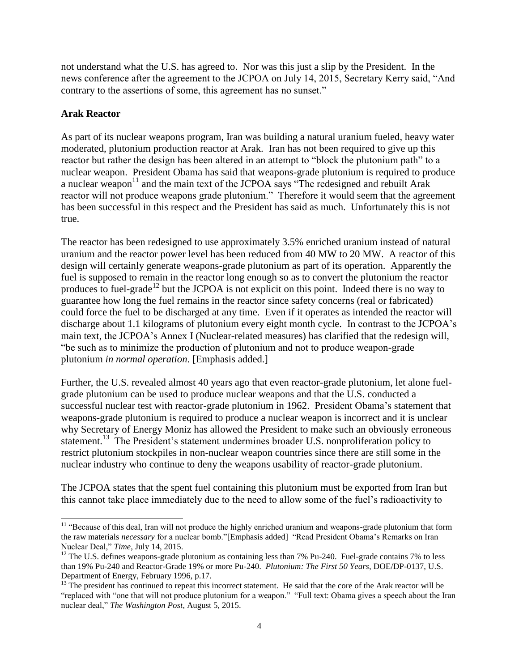not understand what the U.S. has agreed to. Nor was this just a slip by the President. In the news conference after the agreement to the JCPOA on July 14, 2015, Secretary Kerry said, "And contrary to the assertions of some, this agreement has no sunset."

### **Arak Reactor**

As part of its nuclear weapons program, Iran was building a natural uranium fueled, heavy water moderated, plutonium production reactor at Arak. Iran has not been required to give up this reactor but rather the design has been altered in an attempt to "block the plutonium path" to a nuclear weapon. President Obama has said that weapons-grade plutonium is required to produce a nuclear weapon $11$  and the main text of the JCPOA says "The redesigned and rebuilt Arak reactor will not produce weapons grade plutonium." Therefore it would seem that the agreement has been successful in this respect and the President has said as much. Unfortunately this is not true.

The reactor has been redesigned to use approximately 3.5% enriched uranium instead of natural uranium and the reactor power level has been reduced from 40 MW to 20 MW. A reactor of this design will certainly generate weapons-grade plutonium as part of its operation. Apparently the fuel is supposed to remain in the reactor long enough so as to convert the plutonium the reactor produces to fuel-grade<sup>12</sup> but the JCPOA is not explicit on this point. Indeed there is no way to guarantee how long the fuel remains in the reactor since safety concerns (real or fabricated) could force the fuel to be discharged at any time. Even if it operates as intended the reactor will discharge about 1.1 kilograms of plutonium every eight month cycle. In contrast to the JCPOA's main text, the JCPOA's Annex I (Nuclear-related measures) has clarified that the redesign will, "be such as to minimize the production of plutonium and not to produce weapon-grade plutonium *in normal operation*. [Emphasis added.]

Further, the U.S. revealed almost 40 years ago that even reactor-grade plutonium, let alone fuelgrade plutonium can be used to produce nuclear weapons and that the U.S. conducted a successful nuclear test with reactor-grade plutonium in 1962. President Obama's statement that weapons-grade plutonium is required to produce a nuclear weapon is incorrect and it is unclear why Secretary of Energy Moniz has allowed the President to make such an obviously erroneous statement.<sup>13</sup> The President's statement undermines broader U.S. nonproliferation policy to restrict plutonium stockpiles in non-nuclear weapon countries since there are still some in the nuclear industry who continue to deny the weapons usability of reactor-grade plutonium.

The JCPOA states that the spent fuel containing this plutonium must be exported from Iran but this cannot take place immediately due to the need to allow some of the fuel's radioactivity to

l <sup>11</sup> "Because of this deal, Iran will not produce the highly enriched uranium and weapons-grade plutonium that form the raw materials *necessary* for a nuclear bomb."[Emphasis added] "Read President Obama's Remarks on Iran Nuclear Deal," *Time*, July 14, 2015.

<sup>&</sup>lt;sup>12</sup> The U.S. defines weapons-grade plutonium as containing less than 7% Pu-240. Fuel-grade contains 7% to less than 19% Pu-240 and Reactor-Grade 19% or more Pu-240. *Plutonium: The First 50 Years*, DOE/DP-0137, U.S. Department of Energy, February 1996, p.17.

<sup>&</sup>lt;sup>13</sup> The president has continued to repeat this incorrect statement. He said that the core of the Arak reactor will be "replaced with "one that will not produce plutonium for a weapon." "Full text: Obama gives a speech about the Iran nuclear deal," *The Washington Post*, August 5, 2015.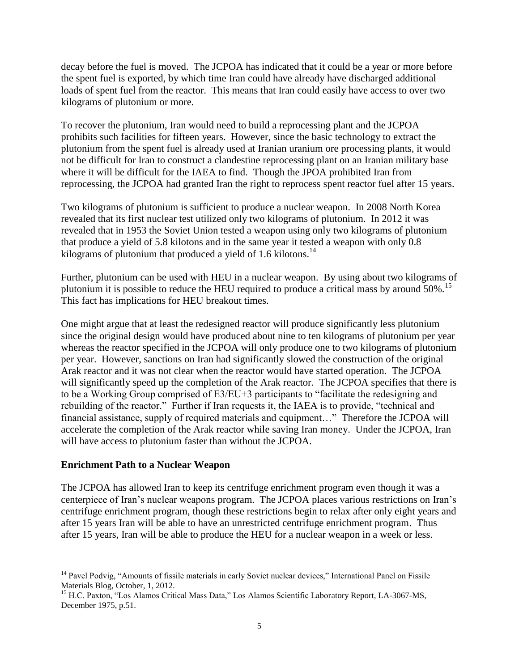decay before the fuel is moved. The JCPOA has indicated that it could be a year or more before the spent fuel is exported, by which time Iran could have already have discharged additional loads of spent fuel from the reactor. This means that Iran could easily have access to over two kilograms of plutonium or more.

To recover the plutonium, Iran would need to build a reprocessing plant and the JCPOA prohibits such facilities for fifteen years. However, since the basic technology to extract the plutonium from the spent fuel is already used at Iranian uranium ore processing plants, it would not be difficult for Iran to construct a clandestine reprocessing plant on an Iranian military base where it will be difficult for the IAEA to find. Though the JPOA prohibited Iran from reprocessing, the JCPOA had granted Iran the right to reprocess spent reactor fuel after 15 years.

Two kilograms of plutonium is sufficient to produce a nuclear weapon. In 2008 North Korea revealed that its first nuclear test utilized only two kilograms of plutonium. In 2012 it was revealed that in 1953 the Soviet Union tested a weapon using only two kilograms of plutonium that produce a yield of 5.8 kilotons and in the same year it tested a weapon with only 0.8 kilograms of plutonium that produced a yield of 1.6 kilotons.<sup>14</sup>

Further, plutonium can be used with HEU in a nuclear weapon. By using about two kilograms of plutonium it is possible to reduce the HEU required to produce a critical mass by around 50%.<sup>15</sup> This fact has implications for HEU breakout times.

One might argue that at least the redesigned reactor will produce significantly less plutonium since the original design would have produced about nine to ten kilograms of plutonium per year whereas the reactor specified in the JCPOA will only produce one to two kilograms of plutonium per year. However, sanctions on Iran had significantly slowed the construction of the original Arak reactor and it was not clear when the reactor would have started operation. The JCPOA will significantly speed up the completion of the Arak reactor. The JCPOA specifies that there is to be a Working Group comprised of E3/EU+3 participants to "facilitate the redesigning and rebuilding of the reactor." Further if Iran requests it, the IAEA is to provide, "technical and financial assistance, supply of required materials and equipment…" Therefore the JCPOA will accelerate the completion of the Arak reactor while saving Iran money. Under the JCPOA, Iran will have access to plutonium faster than without the JCPOA.

#### **Enrichment Path to a Nuclear Weapon**

 $\overline{\phantom{a}}$ 

The JCPOA has allowed Iran to keep its centrifuge enrichment program even though it was a centerpiece of Iran's nuclear weapons program. The JCPOA places various restrictions on Iran's centrifuge enrichment program, though these restrictions begin to relax after only eight years and after 15 years Iran will be able to have an unrestricted centrifuge enrichment program. Thus after 15 years, Iran will be able to produce the HEU for a nuclear weapon in a week or less.

<sup>&</sup>lt;sup>14</sup> Pavel Podvig, "Amounts of fissile materials in early Soviet nuclear devices," International Panel on Fissile Materials Blog, October, 1, 2012.

<sup>&</sup>lt;sup>15</sup> H.C. Paxton, "Los Alamos Critical Mass Data," Los Alamos Scientific Laboratory Report, LA-3067-MS, December 1975, p.51.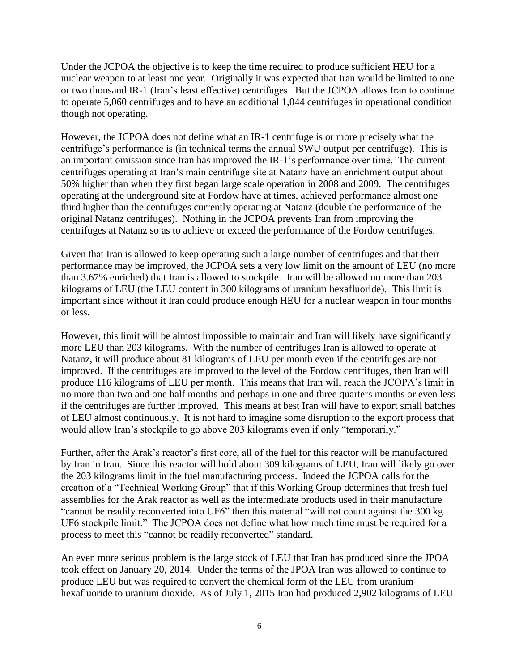Under the JCPOA the objective is to keep the time required to produce sufficient HEU for a nuclear weapon to at least one year. Originally it was expected that Iran would be limited to one or two thousand IR-1 (Iran's least effective) centrifuges. But the JCPOA allows Iran to continue to operate 5,060 centrifuges and to have an additional 1,044 centrifuges in operational condition though not operating.

However, the JCPOA does not define what an IR-1 centrifuge is or more precisely what the centrifuge's performance is (in technical terms the annual SWU output per centrifuge). This is an important omission since Iran has improved the IR-1's performance over time. The current centrifuges operating at Iran's main centrifuge site at Natanz have an enrichment output about 50% higher than when they first began large scale operation in 2008 and 2009. The centrifuges operating at the underground site at Fordow have at times, achieved performance almost one third higher than the centrifuges currently operating at Natanz (double the performance of the original Natanz centrifuges). Nothing in the JCPOA prevents Iran from improving the centrifuges at Natanz so as to achieve or exceed the performance of the Fordow centrifuges.

Given that Iran is allowed to keep operating such a large number of centrifuges and that their performance may be improved, the JCPOA sets a very low limit on the amount of LEU (no more than 3.67% enriched) that Iran is allowed to stockpile. Iran will be allowed no more than 203 kilograms of LEU (the LEU content in 300 kilograms of uranium hexafluoride). This limit is important since without it Iran could produce enough HEU for a nuclear weapon in four months or less.

However, this limit will be almost impossible to maintain and Iran will likely have significantly more LEU than 203 kilograms. With the number of centrifuges Iran is allowed to operate at Natanz, it will produce about 81 kilograms of LEU per month even if the centrifuges are not improved. If the centrifuges are improved to the level of the Fordow centrifuges, then Iran will produce 116 kilograms of LEU per month. This means that Iran will reach the JCOPA's limit in no more than two and one half months and perhaps in one and three quarters months or even less if the centrifuges are further improved. This means at best Iran will have to export small batches of LEU almost continuously. It is not hard to imagine some disruption to the export process that would allow Iran's stockpile to go above 203 kilograms even if only "temporarily."

Further, after the Arak's reactor's first core, all of the fuel for this reactor will be manufactured by Iran in Iran. Since this reactor will hold about 309 kilograms of LEU, Iran will likely go over the 203 kilograms limit in the fuel manufacturing process. Indeed the JCPOA calls for the creation of a "Technical Working Group" that if this Working Group determines that fresh fuel assemblies for the Arak reactor as well as the intermediate products used in their manufacture "cannot be readily reconverted into UF6" then this material "will not count against the 300 kg UF6 stockpile limit." The JCPOA does not define what how much time must be required for a process to meet this "cannot be readily reconverted" standard.

An even more serious problem is the large stock of LEU that Iran has produced since the JPOA took effect on January 20, 2014. Under the terms of the JPOA Iran was allowed to continue to produce LEU but was required to convert the chemical form of the LEU from uranium hexafluoride to uranium dioxide. As of July 1, 2015 Iran had produced 2,902 kilograms of LEU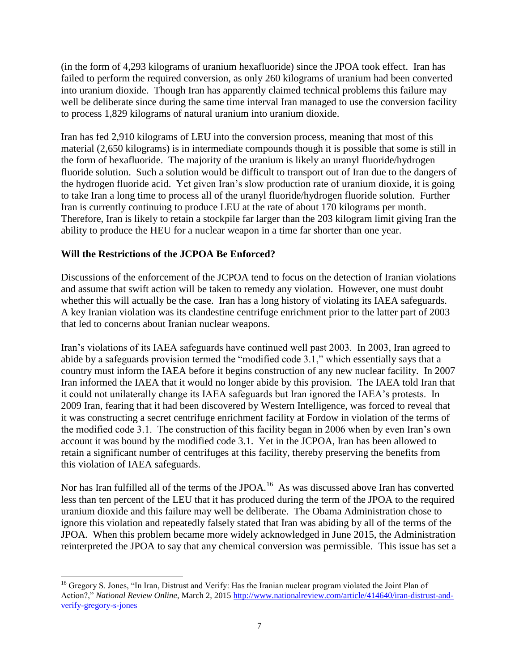(in the form of 4,293 kilograms of uranium hexafluoride) since the JPOA took effect. Iran has failed to perform the required conversion, as only 260 kilograms of uranium had been converted into uranium dioxide. Though Iran has apparently claimed technical problems this failure may well be deliberate since during the same time interval Iran managed to use the conversion facility to process 1,829 kilograms of natural uranium into uranium dioxide.

Iran has fed 2,910 kilograms of LEU into the conversion process, meaning that most of this material (2,650 kilograms) is in intermediate compounds though it is possible that some is still in the form of hexafluoride. The majority of the uranium is likely an uranyl fluoride/hydrogen fluoride solution. Such a solution would be difficult to transport out of Iran due to the dangers of the hydrogen fluoride acid. Yet given Iran's slow production rate of uranium dioxide, it is going to take Iran a long time to process all of the uranyl fluoride/hydrogen fluoride solution. Further Iran is currently continuing to produce LEU at the rate of about 170 kilograms per month. Therefore, Iran is likely to retain a stockpile far larger than the 203 kilogram limit giving Iran the ability to produce the HEU for a nuclear weapon in a time far shorter than one year.

# **Will the Restrictions of the JCPOA Be Enforced?**

Discussions of the enforcement of the JCPOA tend to focus on the detection of Iranian violations and assume that swift action will be taken to remedy any violation. However, one must doubt whether this will actually be the case. Iran has a long history of violating its IAEA safeguards. A key Iranian violation was its clandestine centrifuge enrichment prior to the latter part of 2003 that led to concerns about Iranian nuclear weapons.

Iran's violations of its IAEA safeguards have continued well past 2003. In 2003, Iran agreed to abide by a safeguards provision termed the "modified code 3.1," which essentially says that a country must inform the IAEA before it begins construction of any new nuclear facility. In 2007 Iran informed the IAEA that it would no longer abide by this provision. The IAEA told Iran that it could not unilaterally change its IAEA safeguards but Iran ignored the IAEA's protests. In 2009 Iran, fearing that it had been discovered by Western Intelligence, was forced to reveal that it was constructing a secret centrifuge enrichment facility at Fordow in violation of the terms of the modified code 3.1. The construction of this facility began in 2006 when by even Iran's own account it was bound by the modified code 3.1. Yet in the JCPOA, Iran has been allowed to retain a significant number of centrifuges at this facility, thereby preserving the benefits from this violation of IAEA safeguards.

Nor has Iran fulfilled all of the terms of the JPOA.<sup>16</sup> As was discussed above Iran has converted less than ten percent of the LEU that it has produced during the term of the JPOA to the required uranium dioxide and this failure may well be deliberate. The Obama Administration chose to ignore this violation and repeatedly falsely stated that Iran was abiding by all of the terms of the JPOA. When this problem became more widely acknowledged in June 2015, the Administration reinterpreted the JPOA to say that any chemical conversion was permissible. This issue has set a

l <sup>16</sup> Gregory S. Jones, "In Iran, Distrust and Verify: Has the Iranian nuclear program violated the Joint Plan of Action?," *National Review Online*, March 2, 2015 [http://www.nationalreview.com/article/414640/iran-distrust-and](http://www.nationalreview.com/article/414640/iran-distrust-and-verify-gregory-s-jones)[verify-gregory-s-jones](http://www.nationalreview.com/article/414640/iran-distrust-and-verify-gregory-s-jones)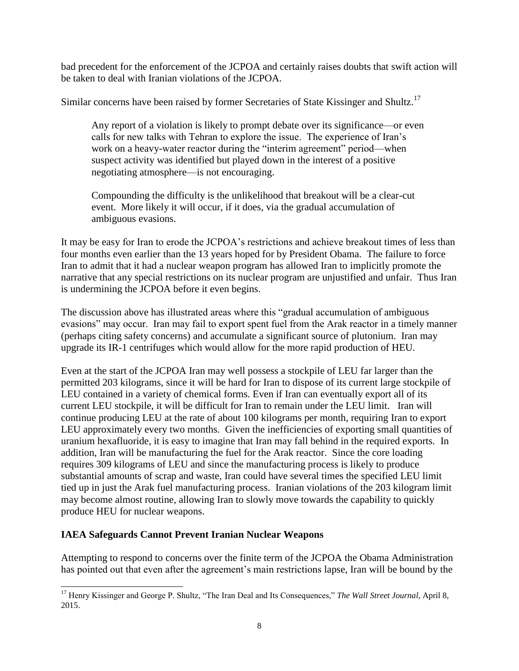bad precedent for the enforcement of the JCPOA and certainly raises doubts that swift action will be taken to deal with Iranian violations of the JCPOA.

Similar concerns have been raised by former Secretaries of State Kissinger and Shultz.<sup>17</sup>

Any report of a violation is likely to prompt debate over its significance—or even calls for new talks with Tehran to explore the issue. The experience of Iran's work on a heavy-water reactor during the "interim agreement" period—when suspect activity was identified but played down in the interest of a positive negotiating atmosphere—is not encouraging.

Compounding the difficulty is the unlikelihood that breakout will be a clear-cut event. More likely it will occur, if it does, via the gradual accumulation of ambiguous evasions.

It may be easy for Iran to erode the JCPOA's restrictions and achieve breakout times of less than four months even earlier than the 13 years hoped for by President Obama. The failure to force Iran to admit that it had a nuclear weapon program has allowed Iran to implicitly promote the narrative that any special restrictions on its nuclear program are unjustified and unfair. Thus Iran is undermining the JCPOA before it even begins.

The discussion above has illustrated areas where this "gradual accumulation of ambiguous evasions" may occur. Iran may fail to export spent fuel from the Arak reactor in a timely manner (perhaps citing safety concerns) and accumulate a significant source of plutonium. Iran may upgrade its IR-1 centrifuges which would allow for the more rapid production of HEU.

Even at the start of the JCPOA Iran may well possess a stockpile of LEU far larger than the permitted 203 kilograms, since it will be hard for Iran to dispose of its current large stockpile of LEU contained in a variety of chemical forms. Even if Iran can eventually export all of its current LEU stockpile, it will be difficult for Iran to remain under the LEU limit. Iran will continue producing LEU at the rate of about 100 kilograms per month, requiring Iran to export LEU approximately every two months. Given the inefficiencies of exporting small quantities of uranium hexafluoride, it is easy to imagine that Iran may fall behind in the required exports. In addition, Iran will be manufacturing the fuel for the Arak reactor. Since the core loading requires 309 kilograms of LEU and since the manufacturing process is likely to produce substantial amounts of scrap and waste, Iran could have several times the specified LEU limit tied up in just the Arak fuel manufacturing process. Iranian violations of the 203 kilogram limit may become almost routine, allowing Iran to slowly move towards the capability to quickly produce HEU for nuclear weapons.

# **IAEA Safeguards Cannot Prevent Iranian Nuclear Weapons**

Attempting to respond to concerns over the finite term of the JCPOA the Obama Administration has pointed out that even after the agreement's main restrictions lapse, Iran will be bound by the

 $\overline{a}$ <sup>17</sup> Henry Kissinger and George P. Shultz, "The Iran Deal and Its Consequences," The Wall Street Journal, April 8, 2015.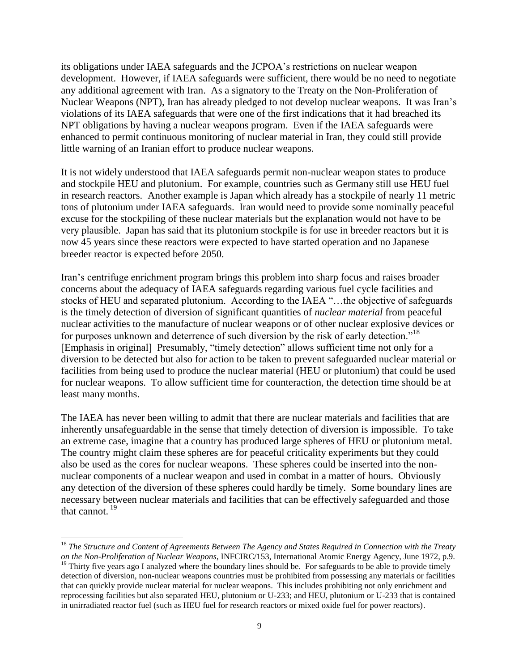its obligations under IAEA safeguards and the JCPOA's restrictions on nuclear weapon development. However, if IAEA safeguards were sufficient, there would be no need to negotiate any additional agreement with Iran. As a signatory to the Treaty on the Non-Proliferation of Nuclear Weapons (NPT), Iran has already pledged to not develop nuclear weapons. It was Iran's violations of its IAEA safeguards that were one of the first indications that it had breached its NPT obligations by having a nuclear weapons program. Even if the IAEA safeguards were enhanced to permit continuous monitoring of nuclear material in Iran, they could still provide little warning of an Iranian effort to produce nuclear weapons.

It is not widely understood that IAEA safeguards permit non-nuclear weapon states to produce and stockpile HEU and plutonium. For example, countries such as Germany still use HEU fuel in research reactors. Another example is Japan which already has a stockpile of nearly 11 metric tons of plutonium under IAEA safeguards. Iran would need to provide some nominally peaceful excuse for the stockpiling of these nuclear materials but the explanation would not have to be very plausible. Japan has said that its plutonium stockpile is for use in breeder reactors but it is now 45 years since these reactors were expected to have started operation and no Japanese breeder reactor is expected before 2050.

Iran's centrifuge enrichment program brings this problem into sharp focus and raises broader concerns about the adequacy of IAEA safeguards regarding various fuel cycle facilities and stocks of HEU and separated plutonium. According to the IAEA "…the objective of safeguards is the timely detection of diversion of significant quantities of *nuclear material* from peaceful nuclear activities to the manufacture of nuclear weapons or of other nuclear explosive devices or for purposes unknown and deterrence of such diversion by the risk of early detection."<sup>18</sup> [Emphasis in original] Presumably, "timely detection" allows sufficient time not only for a diversion to be detected but also for action to be taken to prevent safeguarded nuclear material or facilities from being used to produce the nuclear material (HEU or plutonium) that could be used for nuclear weapons. To allow sufficient time for counteraction, the detection time should be at least many months.

The IAEA has never been willing to admit that there are nuclear materials and facilities that are inherently unsafeguardable in the sense that timely detection of diversion is impossible. To take an extreme case, imagine that a country has produced large spheres of HEU or plutonium metal. The country might claim these spheres are for peaceful criticality experiments but they could also be used as the cores for nuclear weapons. These spheres could be inserted into the nonnuclear components of a nuclear weapon and used in combat in a matter of hours. Obviously any detection of the diversion of these spheres could hardly be timely. Some boundary lines are necessary between nuclear materials and facilities that can be effectively safeguarded and those that cannot.  $^{19}$ 

 $\overline{\phantom{a}}$ 

<sup>18</sup> *The Structure and Content of Agreements Between The Agency and States Required in Connection with the Treaty on the Non-Proliferation of Nuclear Weapons*, INFCIRC/153, International Atomic Energy Agency, June 1972, p.9.

<sup>&</sup>lt;sup>19</sup> Thirty five years ago I analyzed where the boundary lines should be. For safeguards to be able to provide timely detection of diversion, non-nuclear weapons countries must be prohibited from possessing any materials or facilities that can quickly provide nuclear material for nuclear weapons. This includes prohibiting not only enrichment and reprocessing facilities but also separated HEU, plutonium or U-233; and HEU, plutonium or U-233 that is contained in unirradiated reactor fuel (such as HEU fuel for research reactors or mixed oxide fuel for power reactors).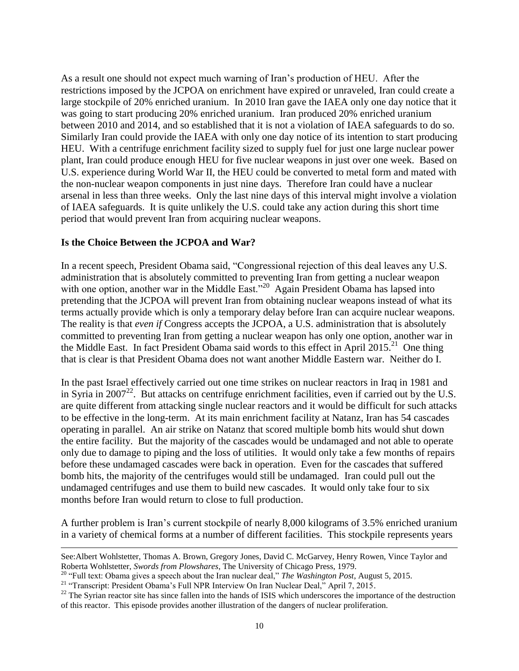As a result one should not expect much warning of Iran's production of HEU. After the restrictions imposed by the JCPOA on enrichment have expired or unraveled, Iran could create a large stockpile of 20% enriched uranium. In 2010 Iran gave the IAEA only one day notice that it was going to start producing 20% enriched uranium. Iran produced 20% enriched uranium between 2010 and 2014, and so established that it is not a violation of IAEA safeguards to do so. Similarly Iran could provide the IAEA with only one day notice of its intention to start producing HEU. With a centrifuge enrichment facility sized to supply fuel for just one large nuclear power plant, Iran could produce enough HEU for five nuclear weapons in just over one week. Based on U.S. experience during World War II, the HEU could be converted to metal form and mated with the non-nuclear weapon components in just nine days. Therefore Iran could have a nuclear arsenal in less than three weeks. Only the last nine days of this interval might involve a violation of IAEA safeguards. It is quite unlikely the U.S. could take any action during this short time period that would prevent Iran from acquiring nuclear weapons.

#### **Is the Choice Between the JCPOA and War?**

In a recent speech, President Obama said, "Congressional rejection of this deal leaves any U.S. administration that is absolutely committed to preventing Iran from getting a nuclear weapon with one option, another war in the Middle East."<sup>20</sup> Again President Obama has lapsed into pretending that the JCPOA will prevent Iran from obtaining nuclear weapons instead of what its terms actually provide which is only a temporary delay before Iran can acquire nuclear weapons. The reality is that *even if* Congress accepts the JCPOA, a U.S. administration that is absolutely committed to preventing Iran from getting a nuclear weapon has only one option, another war in the Middle East. In fact President Obama said words to this effect in April 2015.<sup>21</sup> One thing that is clear is that President Obama does not want another Middle Eastern war. Neither do I.

In the past Israel effectively carried out one time strikes on nuclear reactors in Iraq in 1981 and in Syria in 2007<sup>22</sup>. But attacks on centrifuge enrichment facilities, even if carried out by the U.S. are quite different from attacking single nuclear reactors and it would be difficult for such attacks to be effective in the long-term. At its main enrichment facility at Natanz, Iran has 54 cascades operating in parallel. An air strike on Natanz that scored multiple bomb hits would shut down the entire facility. But the majority of the cascades would be undamaged and not able to operate only due to damage to piping and the loss of utilities. It would only take a few months of repairs before these undamaged cascades were back in operation. Even for the cascades that suffered bomb hits, the majority of the centrifuges would still be undamaged. Iran could pull out the undamaged centrifuges and use them to build new cascades. It would only take four to six months before Iran would return to close to full production.

A further problem is Iran's current stockpile of nearly 8,000 kilograms of 3.5% enriched uranium in a variety of chemical forms at a number of different facilities. This stockpile represents years

<sup>20</sup> "Full text: Obama gives a speech about the Iran nuclear deal," *The Washington Post*, August 5, 2015.

 $\overline{a}$ See:Albert Wohlstetter, Thomas A. Brown, Gregory Jones, David C. McGarvey, Henry Rowen, Vince Taylor and Roberta Wohlstetter, *Swords from Plowshares*, The University of Chicago Press, 1979.

<sup>&</sup>lt;sup>21</sup> "Transcript: President Obama's Full NPR Interview On Iran Nuclear Deal," April 7, 2015.

 $22$  The Syrian reactor site has since fallen into the hands of ISIS which underscores the importance of the destruction of this reactor. This episode provides another illustration of the dangers of nuclear proliferation.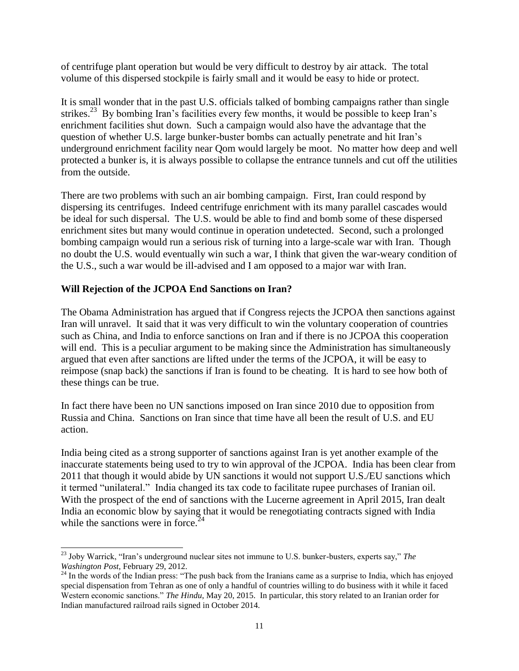of centrifuge plant operation but would be very difficult to destroy by air attack. The total volume of this dispersed stockpile is fairly small and it would be easy to hide or protect.

It is small wonder that in the past U.S. officials talked of bombing campaigns rather than single strikes.<sup>23</sup> By bombing Iran's facilities every few months, it would be possible to keep Iran's enrichment facilities shut down. Such a campaign would also have the advantage that the question of whether U.S. large bunker-buster bombs can actually penetrate and hit Iran's underground enrichment facility near Qom would largely be moot. No matter how deep and well protected a bunker is, it is always possible to collapse the entrance tunnels and cut off the utilities from the outside.

There are two problems with such an air bombing campaign. First, Iran could respond by dispersing its centrifuges. Indeed centrifuge enrichment with its many parallel cascades would be ideal for such dispersal. The U.S. would be able to find and bomb some of these dispersed enrichment sites but many would continue in operation undetected. Second, such a prolonged bombing campaign would run a serious risk of turning into a large-scale war with Iran. Though no doubt the U.S. would eventually win such a war, I think that given the war-weary condition of the U.S., such a war would be ill-advised and I am opposed to a major war with Iran.

# **Will Rejection of the JCPOA End Sanctions on Iran?**

The Obama Administration has argued that if Congress rejects the JCPOA then sanctions against Iran will unravel. It said that it was very difficult to win the voluntary cooperation of countries such as China, and India to enforce sanctions on Iran and if there is no JCPOA this cooperation will end. This is a peculiar argument to be making since the Administration has simultaneously argued that even after sanctions are lifted under the terms of the JCPOA, it will be easy to reimpose (snap back) the sanctions if Iran is found to be cheating. It is hard to see how both of these things can be true.

In fact there have been no UN sanctions imposed on Iran since 2010 due to opposition from Russia and China. Sanctions on Iran since that time have all been the result of U.S. and EU action.

India being cited as a strong supporter of sanctions against Iran is yet another example of the inaccurate statements being used to try to win approval of the JCPOA. India has been clear from 2011 that though it would abide by UN sanctions it would not support U.S./EU sanctions which it termed "unilateral." India changed its tax code to facilitate rupee purchases of Iranian oil. With the prospect of the end of sanctions with the Lucerne agreement in April 2015, Iran dealt India an economic blow by saying that it would be renegotiating contracts signed with India while the sanctions were in force. $24$ 

 $\overline{a}$ <sup>23</sup> Joby Warrick, "Iran's underground nuclear sites not immune to U.S. bunker-busters, experts say," *The Washington Post*, February 29, 2012.

<sup>&</sup>lt;sup>24</sup> In the words of the Indian press: "The push back from the Iranians came as a surprise to India, which has enjoyed special dispensation from Tehran as one of only a handful of countries willing to do business with it while it faced Western economic sanctions." *The Hindu*, May 20, 2015. In particular, this story related to an Iranian order for Indian manufactured railroad rails signed in October 2014.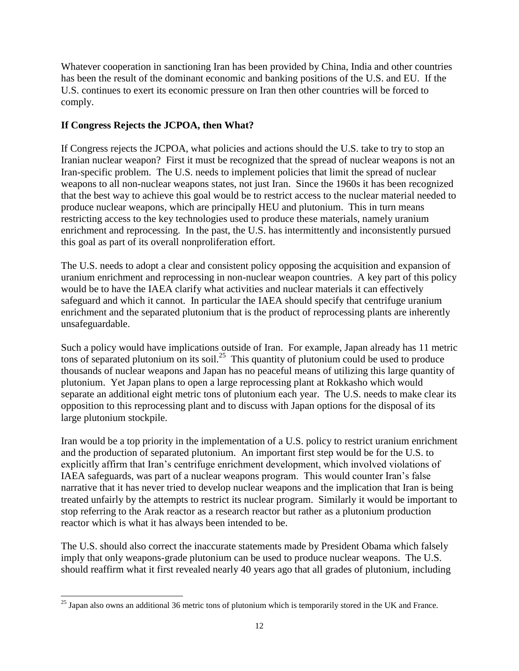Whatever cooperation in sanctioning Iran has been provided by China, India and other countries has been the result of the dominant economic and banking positions of the U.S. and EU. If the U.S. continues to exert its economic pressure on Iran then other countries will be forced to comply.

# **If Congress Rejects the JCPOA, then What?**

If Congress rejects the JCPOA, what policies and actions should the U.S. take to try to stop an Iranian nuclear weapon? First it must be recognized that the spread of nuclear weapons is not an Iran-specific problem. The U.S. needs to implement policies that limit the spread of nuclear weapons to all non-nuclear weapons states, not just Iran. Since the 1960s it has been recognized that the best way to achieve this goal would be to restrict access to the nuclear material needed to produce nuclear weapons, which are principally HEU and plutonium. This in turn means restricting access to the key technologies used to produce these materials, namely uranium enrichment and reprocessing. In the past, the U.S. has intermittently and inconsistently pursued this goal as part of its overall nonproliferation effort.

The U.S. needs to adopt a clear and consistent policy opposing the acquisition and expansion of uranium enrichment and reprocessing in non-nuclear weapon countries. A key part of this policy would be to have the IAEA clarify what activities and nuclear materials it can effectively safeguard and which it cannot. In particular the IAEA should specify that centrifuge uranium enrichment and the separated plutonium that is the product of reprocessing plants are inherently unsafeguardable.

Such a policy would have implications outside of Iran. For example, Japan already has 11 metric tons of separated plutonium on its soil.<sup>25</sup> This quantity of plutonium could be used to produce thousands of nuclear weapons and Japan has no peaceful means of utilizing this large quantity of plutonium. Yet Japan plans to open a large reprocessing plant at Rokkasho which would separate an additional eight metric tons of plutonium each year. The U.S. needs to make clear its opposition to this reprocessing plant and to discuss with Japan options for the disposal of its large plutonium stockpile.

Iran would be a top priority in the implementation of a U.S. policy to restrict uranium enrichment and the production of separated plutonium. An important first step would be for the U.S. to explicitly affirm that Iran's centrifuge enrichment development, which involved violations of IAEA safeguards, was part of a nuclear weapons program. This would counter Iran's false narrative that it has never tried to develop nuclear weapons and the implication that Iran is being treated unfairly by the attempts to restrict its nuclear program. Similarly it would be important to stop referring to the Arak reactor as a research reactor but rather as a plutonium production reactor which is what it has always been intended to be.

The U.S. should also correct the inaccurate statements made by President Obama which falsely imply that only weapons-grade plutonium can be used to produce nuclear weapons. The U.S. should reaffirm what it first revealed nearly 40 years ago that all grades of plutonium, including

l  $25$  Japan also owns an additional 36 metric tons of plutonium which is temporarily stored in the UK and France.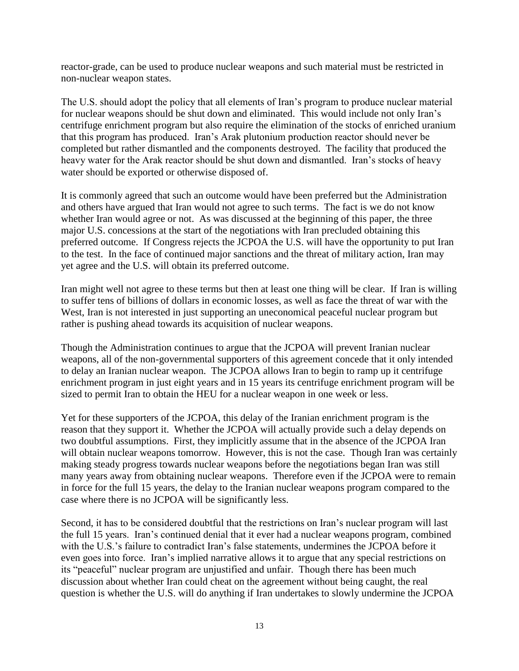reactor-grade, can be used to produce nuclear weapons and such material must be restricted in non-nuclear weapon states.

The U.S. should adopt the policy that all elements of Iran's program to produce nuclear material for nuclear weapons should be shut down and eliminated. This would include not only Iran's centrifuge enrichment program but also require the elimination of the stocks of enriched uranium that this program has produced. Iran's Arak plutonium production reactor should never be completed but rather dismantled and the components destroyed. The facility that produced the heavy water for the Arak reactor should be shut down and dismantled. Iran's stocks of heavy water should be exported or otherwise disposed of.

It is commonly agreed that such an outcome would have been preferred but the Administration and others have argued that Iran would not agree to such terms. The fact is we do not know whether Iran would agree or not. As was discussed at the beginning of this paper, the three major U.S. concessions at the start of the negotiations with Iran precluded obtaining this preferred outcome. If Congress rejects the JCPOA the U.S. will have the opportunity to put Iran to the test. In the face of continued major sanctions and the threat of military action, Iran may yet agree and the U.S. will obtain its preferred outcome.

Iran might well not agree to these terms but then at least one thing will be clear. If Iran is willing to suffer tens of billions of dollars in economic losses, as well as face the threat of war with the West, Iran is not interested in just supporting an uneconomical peaceful nuclear program but rather is pushing ahead towards its acquisition of nuclear weapons.

Though the Administration continues to argue that the JCPOA will prevent Iranian nuclear weapons, all of the non-governmental supporters of this agreement concede that it only intended to delay an Iranian nuclear weapon. The JCPOA allows Iran to begin to ramp up it centrifuge enrichment program in just eight years and in 15 years its centrifuge enrichment program will be sized to permit Iran to obtain the HEU for a nuclear weapon in one week or less.

Yet for these supporters of the JCPOA, this delay of the Iranian enrichment program is the reason that they support it. Whether the JCPOA will actually provide such a delay depends on two doubtful assumptions. First, they implicitly assume that in the absence of the JCPOA Iran will obtain nuclear weapons tomorrow. However, this is not the case. Though Iran was certainly making steady progress towards nuclear weapons before the negotiations began Iran was still many years away from obtaining nuclear weapons. Therefore even if the JCPOA were to remain in force for the full 15 years, the delay to the Iranian nuclear weapons program compared to the case where there is no JCPOA will be significantly less.

Second, it has to be considered doubtful that the restrictions on Iran's nuclear program will last the full 15 years. Iran's continued denial that it ever had a nuclear weapons program, combined with the U.S.'s failure to contradict Iran's false statements, undermines the JCPOA before it even goes into force. Iran's implied narrative allows it to argue that any special restrictions on its "peaceful" nuclear program are unjustified and unfair. Though there has been much discussion about whether Iran could cheat on the agreement without being caught, the real question is whether the U.S. will do anything if Iran undertakes to slowly undermine the JCPOA